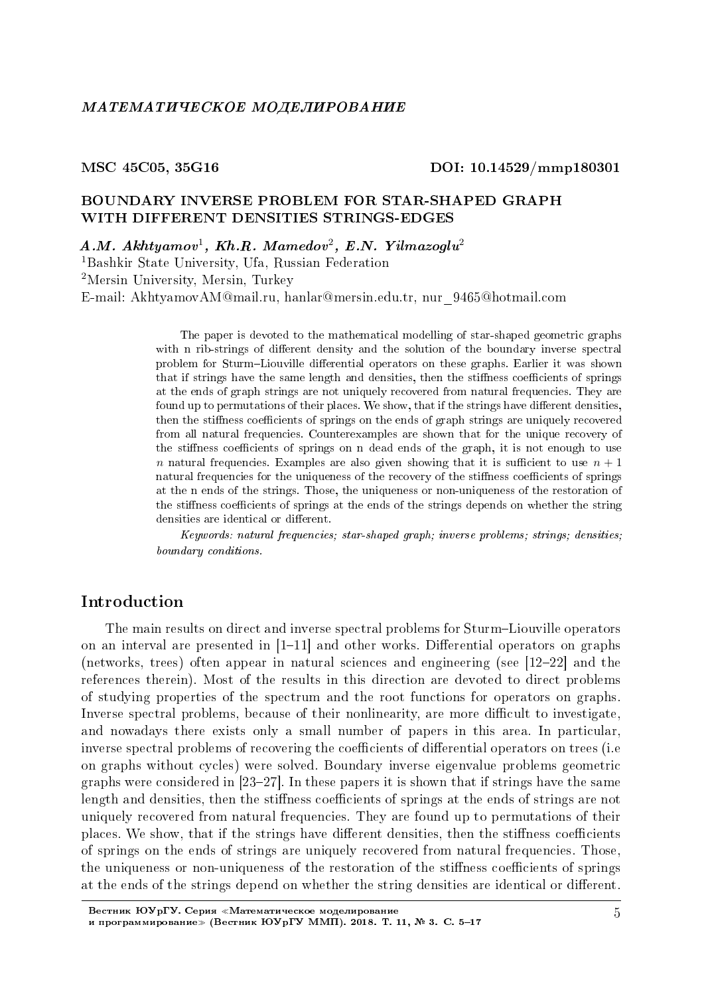#### MSC 45C05, 35G16 DOI: 10.14529/mmp180301

# BOUNDARY INVERSE PROBLEM FOR STAR-SHAPED GRAPH WITH DIFFERENT DENSITIES STRINGS-EDGES

 $A.M.$  Akhtyamov<sup>1</sup>, Kh.R. Mamedov<sup>2</sup>, E.N. Yilmazoglu<sup>2</sup>

<sup>1</sup>Bashkir State University, Ufa, Russian Federation <sup>2</sup>Mersin University, Mersin, Turkey E-mail: AkhtyamovAM@mail.ru, hanlar@mersin.edu.tr, nur\_9465@hotmail.com

> The paper is devoted to the mathematical modelling of star-shaped geometric graphs with n rib-strings of different density and the solution of the boundary inverse spectral problem for Sturm-Liouville differential operators on these graphs. Earlier it was shown that if strings have the same length and densities, then the stiffness coefficients of springs at the ends of graph strings are not uniquely recovered from natural frequencies. They are found up to permutations of their places. We show, that if the strings have different densities, then the stiffness coefficients of springs on the ends of graph strings are uniquely recovered from all natural frequencies. Counterexamples are shown that for the unique recovery of the stiffness coefficients of springs on n dead ends of the graph, it is not enough to use *n* natural frequencies. Examples are also given showing that it is sufficient to use  $n + 1$ natural frequencies for the uniqueness of the recovery of the stiffness coefficients of springs at the n ends of the strings. Those, the uniqueness or non-uniqueness of the restoration of the stiffness coefficients of springs at the ends of the strings depends on whether the string densities are identical or different.

> Keywords: natural frequencies; star-shaped graph; inverse problems; strings; densities; boundary conditions.

# Introduction

The main results on direct and inverse spectral problems for Sturm-Liouville operators on an interval are presented in  $[1-11]$  and other works. Differential operators on graphs (networks, trees) often appear in natural sciences and engineering (see  $[12-22]$  and the references therein). Most of the results in this direction are devoted to direct problems of studying properties of the spectrum and the root functions for operators on graphs. Inverse spectral problems, because of their nonlinearity, are more difficult to investigate, and nowadays there exists only a small number of papers in this area. In particular, inverse spectral problems of recovering the coefficients of differential operators on trees (i.e. on graphs without cycles) were solved. Boundary inverse eigenvalue problems geometric graphs were considered in  $[23-27]$ . In these papers it is shown that if strings have the same length and densities, then the stiffness coefficients of springs at the ends of strings are not uniquely recovered from natural frequencies. They are found up to permutations of their places. We show, that if the strings have different densities, then the stiffness coefficients of springs on the ends of strings are uniquely recovered from natural frequencies. Those, the uniqueness or non-uniqueness of the restoration of the stiffness coefficients of springs at the ends of the strings depend on whether the string densities are identical or different.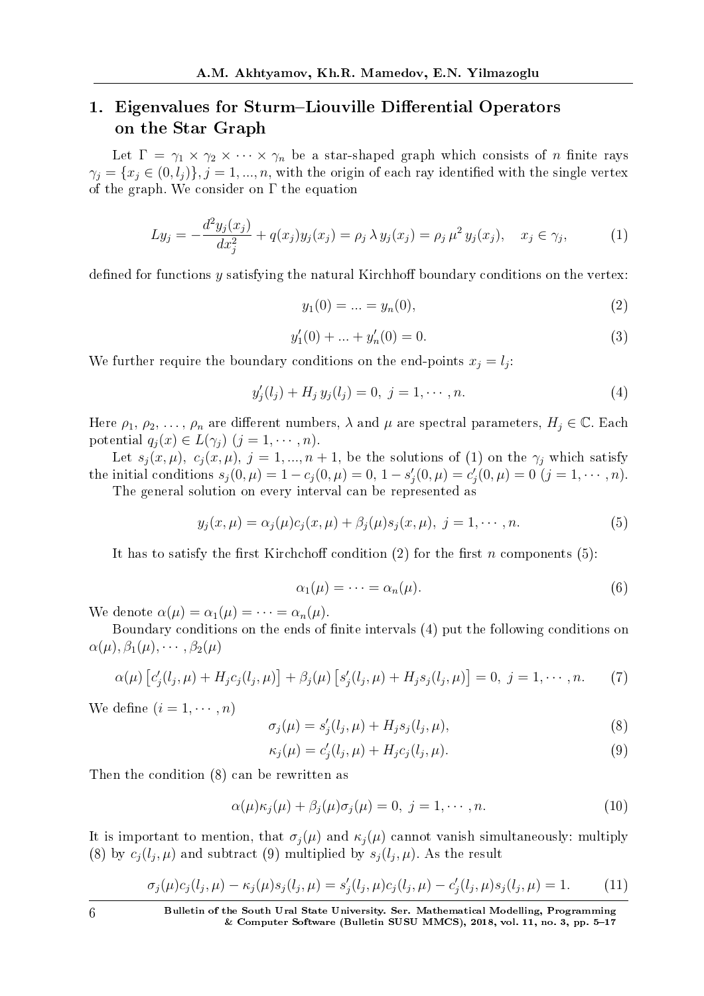# 1. Eigenvalues for Sturm–Liouville Differential Operators on the Star Graph

Let  $\Gamma = \gamma_1 \times \gamma_2 \times \cdots \times \gamma_n$  be a star-shaped graph which consists of *n* finite rays  $\gamma_j = \{x_j \in (0, l_j)\}, j = 1, ..., n$ , with the origin of each ray identified with the single vertex of the graph. We consider on  $\Gamma$  the equation

$$
Ly_j = -\frac{d^2y_j(x_j)}{dx_j^2} + q(x_j)y_j(x_j) = \rho_j \lambda y_j(x_j) = \rho_j \mu^2 y_j(x_j), \quad x_j \in \gamma_j,
$$
 (1)

defined for functions y satisfying the natural Kirchhoff boundary conditions on the vertex:

$$
y_1(0) = \ldots = y_n(0), \tag{2}
$$

$$
y_1'(0) + \dots + y_n'(0) = 0.\tag{3}
$$

We further require the boundary conditions on the end-points  $x_j = l_j$ :

$$
y'_{j}(l_{j}) + H_{j} y_{j}(l_{j}) = 0, \ j = 1, \cdots, n.
$$
 (4)

Here  $\rho_1, \rho_2, \ldots, \rho_n$  are different numbers,  $\lambda$  and  $\mu$  are spectral parameters,  $H_j \in \mathbb{C}$ . Each potential  $q_i(x) \in L(\gamma_i)$   $(j = 1, \dots, n)$ .

Let  $s_j(x, \mu)$ ,  $c_j(x, \mu)$ ,  $j = 1, ..., n + 1$ , be the solutions of (1) on the  $\gamma_j$  which satisfy the initial conditions  $s_j(0, \mu) = 1 - c_j(0, \mu) = 0$ ,  $1 - s'_j(0, \mu) = c'_j(0, \mu) = 0$   $(j = 1, \dots, n)$ .

The general solution on every interval can be represented as

$$
y_j(x,\mu) = \alpha_j(\mu)c_j(x,\mu) + \beta_j(\mu)s_j(x,\mu), \ j = 1, \cdots, n.
$$
 (5)

It has to satisfy the first Kirchchoff condition  $(2)$  for the first *n* components (5):

$$
\alpha_1(\mu) = \dots = \alpha_n(\mu). \tag{6}
$$

We denote  $\alpha(\mu) = \alpha_1(\mu) = \cdots = \alpha_n(\mu)$ .

Boundary conditions on the ends of finite intervals (4) put the following conditions on  $\alpha(\mu), \beta_1(\mu), \cdots, \beta_2(\mu)$ 

$$
\alpha(\mu) [c'_j(l_j, \mu) + H_j c_j(l_j, \mu)] + \beta_j(\mu) [s'_j(l_j, \mu) + H_j s_j(l_j, \mu)] = 0, \ j = 1, \cdots, n. \tag{7}
$$

We define  $(i = 1, \dots, n)$ 

$$
\sigma_j(\mu) = s'_j(l_j, \mu) + H_j s_j(l_j, \mu),\tag{8}
$$

$$
\kappa_j(\mu) = c'_j(l_j, \mu) + H_j c_j(l_j, \mu). \tag{9}
$$

Then the condition (8) can be rewritten as

$$
\alpha(\mu)\kappa_j(\mu) + \beta_j(\mu)\sigma_j(\mu) = 0, \ j = 1, \cdots, n. \tag{10}
$$

It is important to mention, that  $\sigma_i(\mu)$  and  $\kappa_i(\mu)$  cannot vanish simultaneously: multiply (8) by  $c_j(l_j, \mu)$  and subtract (9) multiplied by  $s_j(l_j, \mu)$ . As the result

$$
\sigma_j(\mu)c_j(l_j, \mu) - \kappa_j(\mu)s_j(l_j, \mu) = s'_j(l_j, \mu)c_j(l_j, \mu) - c'_j(l_j, \mu)s_j(l_j, \mu) = 1.
$$
 (11)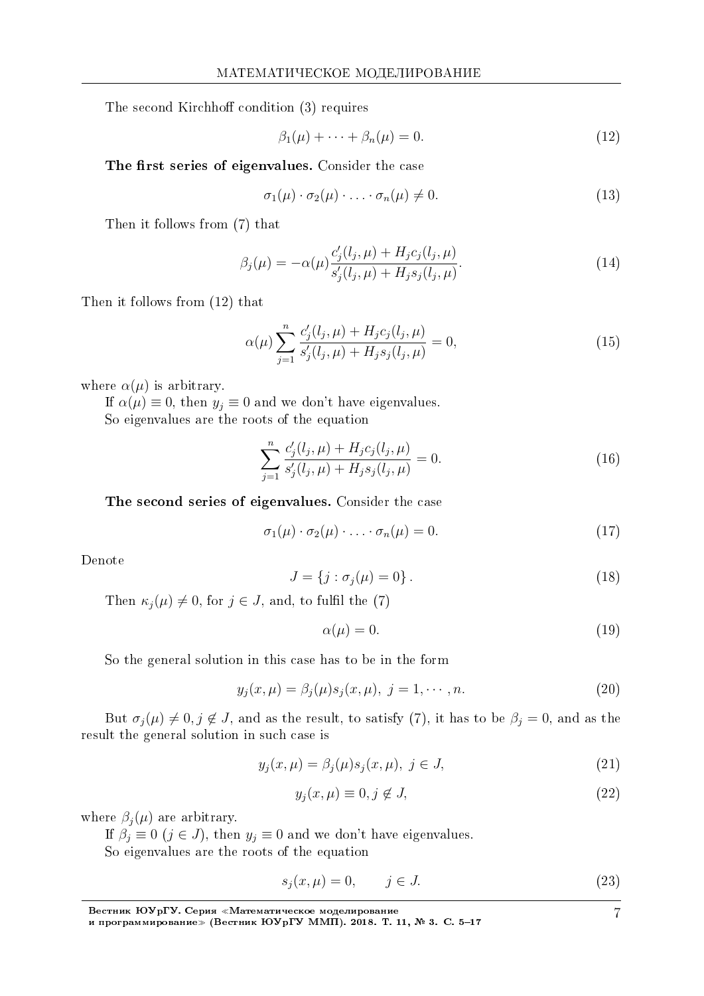The second Kirchhoff condition (3) requires

$$
\beta_1(\mu) + \dots + \beta_n(\mu) = 0. \tag{12}
$$

The first series of eigenvalues. Consider the case

$$
\sigma_1(\mu) \cdot \sigma_2(\mu) \cdot \ldots \cdot \sigma_n(\mu) \neq 0. \tag{13}
$$

Then it follows from (7) that

$$
\beta_j(\mu) = -\alpha(\mu) \frac{c_j'(l_j, \mu) + H_j c_j(l_j, \mu)}{s_j'(l_j, \mu) + H_j s_j(l_j, \mu)}.
$$
\n(14)

Then it follows from (12) that

$$
\alpha(\mu) \sum_{j=1}^{n} \frac{c_j'(l_j, \mu) + H_j c_j(l_j, \mu)}{s_j'(l_j, \mu) + H_j s_j(l_j, \mu)} = 0,
$$
\n(15)

where  $\alpha(\mu)$  is arbitrary.

If  $\alpha(\mu) \equiv 0$ , then  $y_j \equiv 0$  and we don't have eigenvalues. So eigenvalues are the roots of the equation

$$
\sum_{j=1}^{n} \frac{c_j'(l_j, \mu) + H_j c_j(l_j, \mu)}{s_j'(l_j, \mu) + H_j s_j(l_j, \mu)} = 0.
$$
\n(16)

The second series of eigenvalues. Consider the case

$$
\sigma_1(\mu) \cdot \sigma_2(\mu) \cdot \ldots \cdot \sigma_n(\mu) = 0. \tag{17}
$$

Denote

$$
J = \{j : \sigma_j(\mu) = 0\}.
$$
 (18)

Then  $\kappa_j(\mu) \neq 0$ , for  $j \in J$ , and, to fulfil the (7)

$$
\alpha(\mu) = 0.\tag{19}
$$

So the general solution in this case has to be in the form

$$
y_j(x,\mu) = \beta_j(\mu)s_j(x,\mu), \ j = 1, \cdots, n. \tag{20}
$$

But  $\sigma_j(\mu) \neq 0, j \notin J$ , and as the result, to satisfy (7), it has to be  $\beta_j = 0$ , and as the result the general solution in such case is

$$
y_j(x,\mu) = \beta_j(\mu)s_j(x,\mu), \ j \in J,\tag{21}
$$

$$
y_j(x,\mu) \equiv 0, j \notin J,\tag{22}
$$

where  $\beta_j(\mu)$  are arbitrary.

If  $\beta_j \equiv 0$  ( $j \in J$ ), then  $y_j \equiv 0$  and we don't have eigenvalues.

So eigenvalues are the roots of the equation

$$
s_j(x,\mu) = 0, \qquad j \in J. \tag{23}
$$

7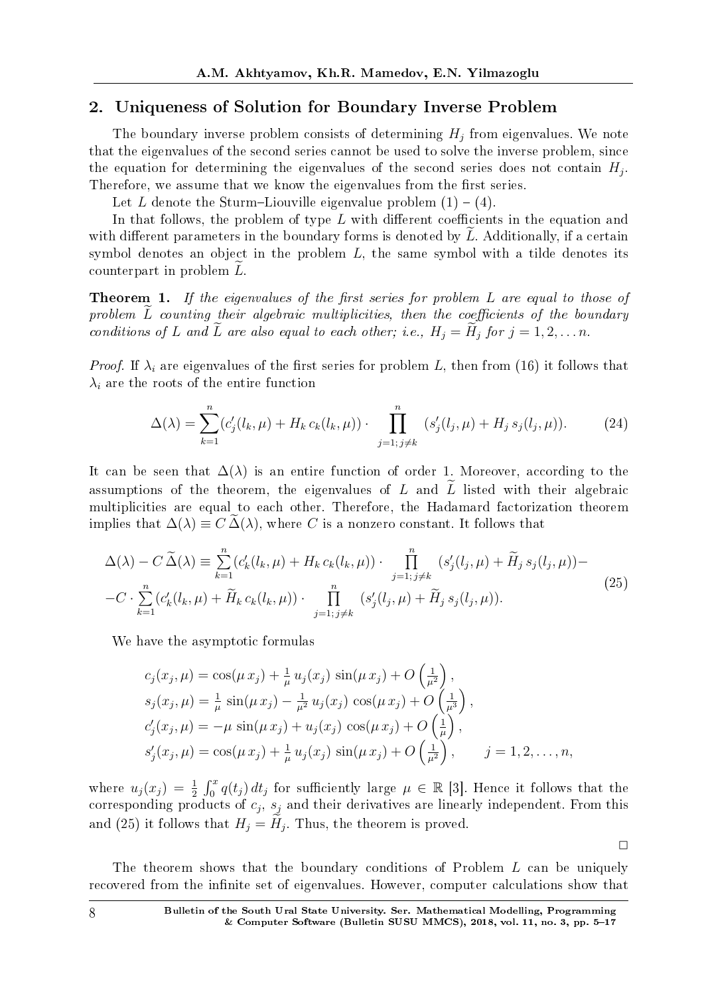#### 2. Uniqueness of Solution for Boundary Inverse Problem

The boundary inverse problem consists of determining  $H_j$  from eigenvalues. We note that the eigenvalues of the second series cannot be used to solve the inverse problem, since the equation for determining the eigenvalues of the second series does not contain *H<sup>j</sup>* . Therefore, we assume that we know the eigenvalues from the first series.

Let *L* denote the Sturm-Liouville eigenvalue problem  $(1) - (4)$ .

In that follows, the problem of type *L* with different coefficients in the equation and with different parameters in the boundary forms is denoted by L. Additionally, if a certain symbol denotes an object in the problem *L*, the same symbol with a tilde denotes its counterpart in problem L.

**Theorem 1.** If the eigenvalues of the first series for problem L are equal to those of problem *L* counting their algebraic multiplicities, then the coefficients of the boundary conditions of *L* and *L* are also equal to each other; i.e.,  $H_j = H_j$  for  $j = 1, 2, \ldots n$ .

*Proof.* If  $\lambda_i$  are eigenvalues of the first series for problem L, then from (16) it follows that  $\lambda_i$  are the roots of the entire function

$$
\Delta(\lambda) = \sum_{k=1}^{n} (c_j'(l_k, \mu) + H_k c_k(l_k, \mu)) \cdot \prod_{j=1; j \neq k}^{n} (s_j'(l_j, \mu) + H_j s_j(l_j, \mu)).
$$
 (24)

It can be seen that  $\Delta(\lambda)$  is an entire function of order 1. Moreover, according to the assumptions of the theorem, the eigenvalues of *L* and  $\widetilde{L}$  listed with their algebraic multiplicities are equal to each other. Therefore, the Hadamard factorization theorem implies that  $\Delta(\lambda) \equiv C \Delta(\lambda)$ , where *C* is a nonzero constant. It follows that

$$
\Delta(\lambda) - C \tilde{\Delta}(\lambda) \equiv \sum_{k=1}^{n} (c'_k(l_k, \mu) + H_k c_k(l_k, \mu)) \cdot \prod_{j=1; j \neq k}^{n} (s'_j(l_j, \mu) + \tilde{H}_j s_j(l_j, \mu)) -
$$
  

$$
-C \cdot \sum_{k=1}^{n} (c'_k(l_k, \mu) + \tilde{H}_k c_k(l_k, \mu)) \cdot \prod_{j=1; j \neq k}^{n} (s'_j(l_j, \mu) + \tilde{H}_j s_j(l_j, \mu)).
$$
 (25)

We have the asymptotic formulas

$$
c_j(x_j, \mu) = \cos(\mu x_j) + \frac{1}{\mu} u_j(x_j) \sin(\mu x_j) + O\left(\frac{1}{\mu^2}\right),
$$
  
\n
$$
s_j(x_j, \mu) = \frac{1}{\mu} \sin(\mu x_j) - \frac{1}{\mu^2} u_j(x_j) \cos(\mu x_j) + O\left(\frac{1}{\mu^3}\right),
$$
  
\n
$$
c'_j(x_j, \mu) = -\mu \sin(\mu x_j) + u_j(x_j) \cos(\mu x_j) + O\left(\frac{1}{\mu}\right),
$$
  
\n
$$
s'_j(x_j, \mu) = \cos(\mu x_j) + \frac{1}{\mu} u_j(x_j) \sin(\mu x_j) + O\left(\frac{1}{\mu^2}\right), \qquad j = 1, 2, ..., n,
$$

where  $u_j(x_j) = \frac{1}{2} \int_0^x q(t_j) dt_j$  for sufficiently large  $\mu \in \mathbb{R}$  [3]. Hence it follows that the corresponding products of *c<sup>j</sup>* , *s<sup>j</sup>* and their derivatives are linearly independent. From this and (25) it follows that  $H_j = H_j$ . Thus, the theorem is proved.

 $\Box$ 

The theorem shows that the boundary conditions of Problem *L* can be uniquely recovered from the infinite set of eigenvalues. However, computer calculations show that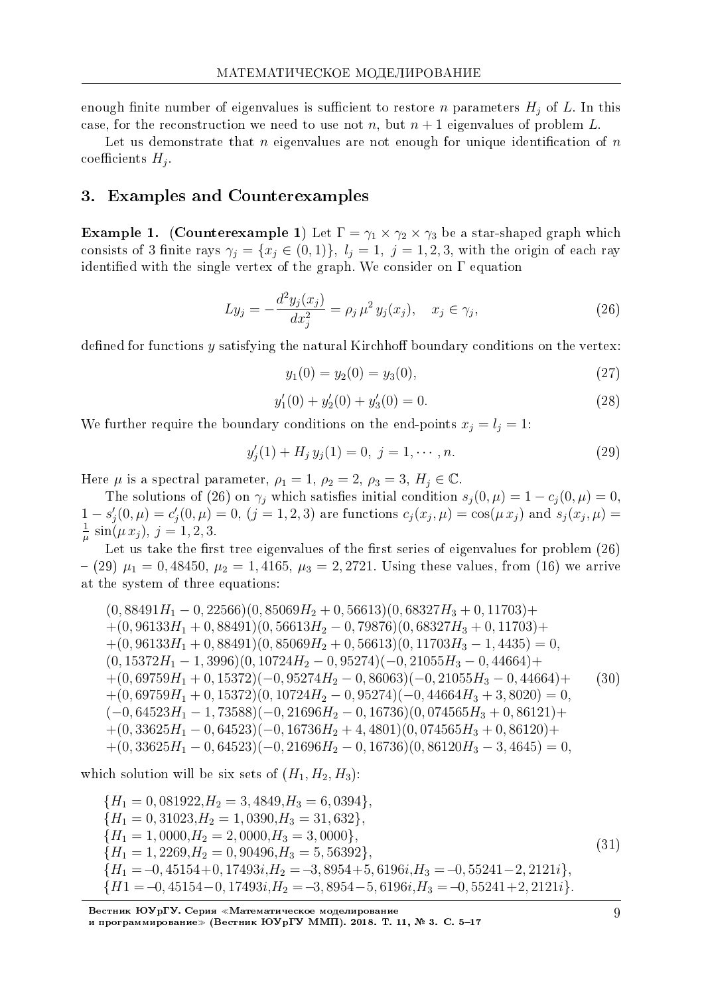enough finite number of eigenvalues is sufficient to restore *n* parameters  $H_j$  of *L*. In this case, for the reconstruction we need to use not *n*, but  $n + 1$  eigenvalues of problem L.

Let us demonstrate that  $n$  eigenvalues are not enough for unique identification of  $n$  $\text{coefficients } H_j.$ 

#### 3. Examples and Counterexamples

**Example 1.** (Counterexample 1) Let  $\Gamma = \gamma_1 \times \gamma_2 \times \gamma_3$  be a star-shaped graph which consists of 3 finite rays  $\gamma_j = \{x_j \in (0,1)\}\$ ,  $l_j = 1, j = 1,2,3$ , with the origin of each ray identified with the single vertex of the graph. We consider on  $\Gamma$  equation

$$
Ly_j = -\frac{d^2y_j(x_j)}{dx_j^2} = \rho_j \,\mu^2 \, y_j(x_j), \quad x_j \in \gamma_j,\tag{26}
$$

defined for functions y satisfying the natural Kirchhoff boundary conditions on the vertex:

$$
y_1(0) = y_2(0) = y_3(0), \t\t(27)
$$

$$
y_1'(0) + y_2'(0) + y_3'(0) = 0.
$$
\n(28)

We further require the boundary conditions on the end-points  $x_j = l_j = 1$ :

$$
y'_{j}(1) + H_{j} y_{j}(1) = 0, \ j = 1, \cdots, n.
$$
 (29)

Here  $\mu$  is a spectral parameter,  $\rho_1 = 1$ ,  $\rho_2 = 2$ ,  $\rho_3 = 3$ ,  $H_j \in \mathbb{C}$ .

The solutions of (26) on  $\gamma_i$  which satisfies initial condition  $s_i(0, \mu) = 1 - c_i(0, \mu) = 0$ .  $1-s'_{j}(0,\mu)=c'_{j}(0,\mu)=0, (j=1,2,3)$  are functions  $c_{j}(x_{j},\mu)=\cos(\mu x_{j})$  and  $s_{j}(x_{j},\mu)=$ 1  $\frac{1}{\mu}$  sin( $\mu x_j$ ),  $j = 1, 2, 3$ .

Let us take the first tree eigenvalues of the first series of eigenvalues for problem  $(26)$  $(29)$   $\mu_1 = 0,48450, \mu_2 = 1,4165, \mu_3 = 2,2721$ . Using these values, from (16) we arrive at the system of three equations:

 $(0,88491H_1 - 0,22566)(0,85069H_2 + 0,56613)(0,68327H_3 + 0,11703)$ + +(0*,* 96133*H*<sup>1</sup> + 0*,* 88491)(0*,* 56613*H*<sup>2</sup> *−* 0*,* 79876)(0*,* 68327*H*<sup>3</sup> + 0*,* 11703)+ +(0*,* 96133*H*<sup>1</sup> + 0*,* 88491)(0*,* 85069*H*<sup>2</sup> + 0*,* 56613)(0*,* 11703*H*<sup>3</sup> *−* 1*,* 4435) = 0*,* (0*,* 15372*H*<sup>1</sup> *−* 1*,* 3996)(0*,* 10724*H*<sup>2</sup> *−* 0*,* 95274)(*−*0*,* 21055*H*<sup>3</sup> *−* 0*,* 44664)+ +(0*,* 69759*H*<sup>1</sup> + 0*,* 15372)(*−*0*,* 95274*H*<sup>2</sup> *−* 0*,* 86063)(*−*0*,* 21055*H*<sup>3</sup> *−* 0*,* 44664)+ +(0*,* 69759*H*<sup>1</sup> + 0*,* 15372)(0*,* 10724*H*<sup>2</sup> *−* 0*,* 95274)(*−*0*,* 44664*H*<sup>3</sup> + 3*,* 8020) = 0*,* (*−*0*,* 64523*H*<sup>1</sup> *−* 1*,* 73588)(*−*0*,* 21696*H*<sup>2</sup> *−* 0*,* 16736)(0*,* 074565*H*<sup>3</sup> + 0*,* 86121)+ +(0*,* 33625*H*<sup>1</sup> *−* 0*,* 64523)(*−*0*,* 16736*H*<sup>2</sup> + 4*,* 4801)(0*,* 074565*H*<sup>3</sup> + 0*,* 86120)+ +(0*,* 33625*H*<sup>1</sup> *−* 0*,* 64523)(*−*0*,* 21696*H*<sup>2</sup> *−* 0*,* 16736)(0*,* 86120*H*<sup>3</sup> *−* 3*,* 4645) = 0*,* (30)

which solution will be six sets of  $(H_1, H_2, H_3)$ :

$$
{H_1 = 0,081922,H_2 = 3,4849,H_3 = 6,0394},\n{H_1 = 0,31023,H_2 = 1,0390,H_3 = 31,632},\n{H_1 = 1,0000,H_2 = 2,0000,H_3 = 3,0000},\n{H_1 = 1,2269,H_2 = 0,90496,H_3 = 5,56392},\n{H_1 = -0,45154+0,17493i,H_2 = -3,8954+5,6196i,H_3 = -0,55241-2,2121i},\n{H1 = -0,45154-0,17493i,H_2 = -3,8954-5,6196i,H_3 = -0,55241+2,2121i}.
$$
\n(31)

Вестник ЮУрГУ. Серия «Математическое моделирование и программирование≫ (Вестник ЮУрГУ ММП). 2018. Т. 11, № 3. С. 5–17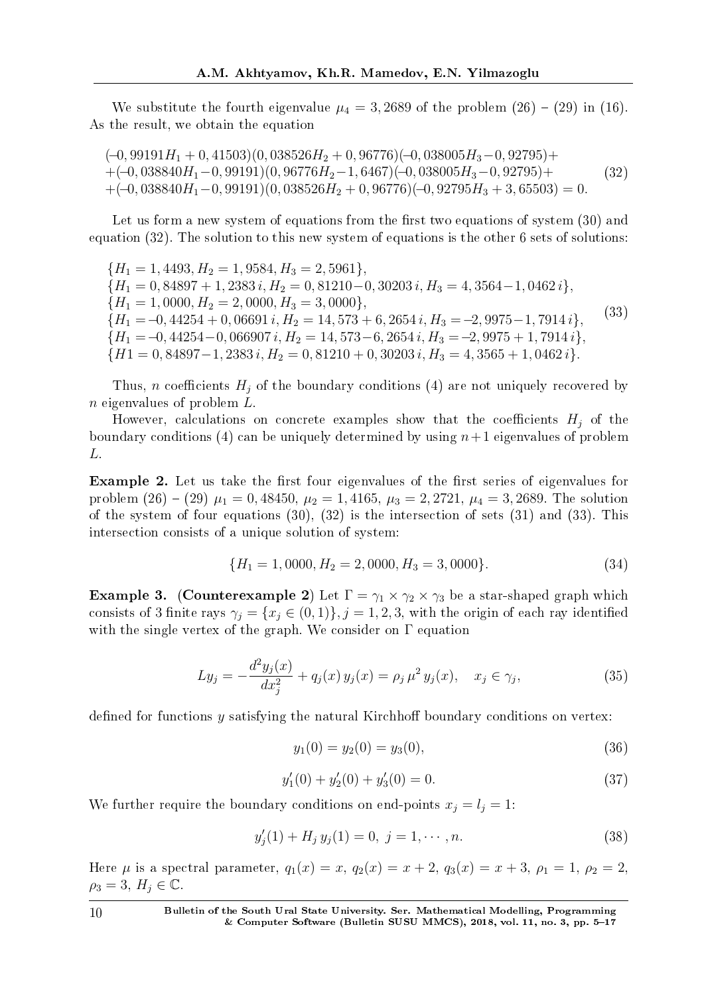We substitute the fourth eigenvalue  $\mu_4 = 3,2689$  of the problem  $(26) - (29)$  in (16). As the result, we obtain the equation

(*−*0*,* 99191*H*<sup>1</sup> + 0*,* 41503)(0*,* 038526*H*<sup>2</sup> + 0*,* 96776)(*−*0*,* 038005*H*3*−*0*,* 92795)+ +(*−*0*,* 038840*H*1*−*0*,* 99191)(0*,* 96776*H*2*−*1*,* 6467)(*−*0*,* 038005*H*3*−*0*,* 92795)+ +(*−*0*,* 038840*H*1*−*0*,* 99191)(0*,* 038526*H*<sup>2</sup> + 0*,* 96776)(*−*0*,* 92795*H*<sup>3</sup> + 3*,* 65503) = 0*.* (32)

Let us form a new system of equations from the first two equations of system  $(30)$  and equation (32). The solution to this new system of equations is the other 6 sets of solutions:

 ${H_1 = 1,4493, H_2 = 1,9584, H_3 = 2,5961},$ *{H*<sup>1</sup> = 0*,* 84897 + 1*,* 2383 *i, H*<sup>2</sup> = 0*,* 81210*−*0*,* 30203 *i, H*<sup>3</sup> = 4*,* 3564*−*1*,* 0462 *i}, {H*<sup>1</sup> = 1*,* 0000*, H*<sup>2</sup> = 2*,* 0000*, H*<sup>3</sup> = 3*,* 0000*}, {H*<sup>1</sup> =*−*0*,* 44254 + 0*,* 06691 *i, H*<sup>2</sup> = 14*,* 573 + 6*,* 2654 *i, H*<sup>3</sup> =*−*2*,* 9975*−*1*,* 7914 *i}, {H*<sup>1</sup> =*−*0*,* 44254*−*0*,* 066907 *i, H*<sup>2</sup> = 14*,* 573*−*6*,* 2654 *i, H*<sup>3</sup> =*−*2*,* 9975 + 1*,* 7914 *i}, {H*1 = 0*,* 84897−1*,* 2383 *i*, *H*<sub>2</sub> = 0*,* 81210 + 0*,* 30203 *i*, *H*<sub>3</sub> = 4*,* 3565 + 1*,* 0462 *i*</del>}*.* (33)

Thus, *n* coefficients  $H_i$  of the boundary conditions (4) are not uniquely recovered by *n* eigenvalues of problem *L*.

However, calculations on concrete examples show that the coefficients  $H_j$  of the boundary conditions (4) can be uniquely determined by using  $n+1$  eigenvalues of problem *L*.

Example 2. Let us take the first four eigenvalues of the first series of eigenvalues for problem  $(26) - (29) \mu_1 = 0,48450, \mu_2 = 1,4165, \mu_3 = 2,2721, \mu_4 = 3,2689$ . The solution of the system of four equations (30), (32) is the intersection of sets (31) and (33). This intersection consists of a unique solution of system:

$$
\{H_1 = 1,0000, H_2 = 2,0000, H_3 = 3,0000\}.
$$
\n(34)

**Example 3.** (Counterexample 2) Let  $\Gamma = \gamma_1 \times \gamma_2 \times \gamma_3$  be a star-shaped graph which consists of 3 finite rays  $\gamma_j = \{x_j \in (0,1)\}, j = 1,2,3$ , with the origin of each ray identified with the single vertex of the graph. We consider on  $\Gamma$  equation

$$
Ly_j = -\frac{d^2y_j(x)}{dx_j^2} + q_j(x)y_j(x) = \rho_j \mu^2 y_j(x), \quad x_j \in \gamma_j,
$$
\n(35)

defined for functions  $\gamma$  satisfying the natural Kirchhoff boundary conditions on vertex:

$$
y_1(0) = y_2(0) = y_3(0), \tag{36}
$$

$$
y_1'(0) + y_2'(0) + y_3'(0) = 0.
$$
\n(37)

We further require the boundary conditions on end-points  $x_j = l_j = 1$ :

$$
y'_{j}(1) + H_{j} y_{j}(1) = 0, \ j = 1, \cdots, n.
$$
 (38)

Here  $\mu$  is a spectral parameter,  $q_1(x) = x$ ,  $q_2(x) = x + 2$ ,  $q_3(x) = x + 3$ ,  $\rho_1 = 1$ ,  $\rho_2 = 2$ ,  $\rho_3 = 3, H_j \in \mathbb{C}.$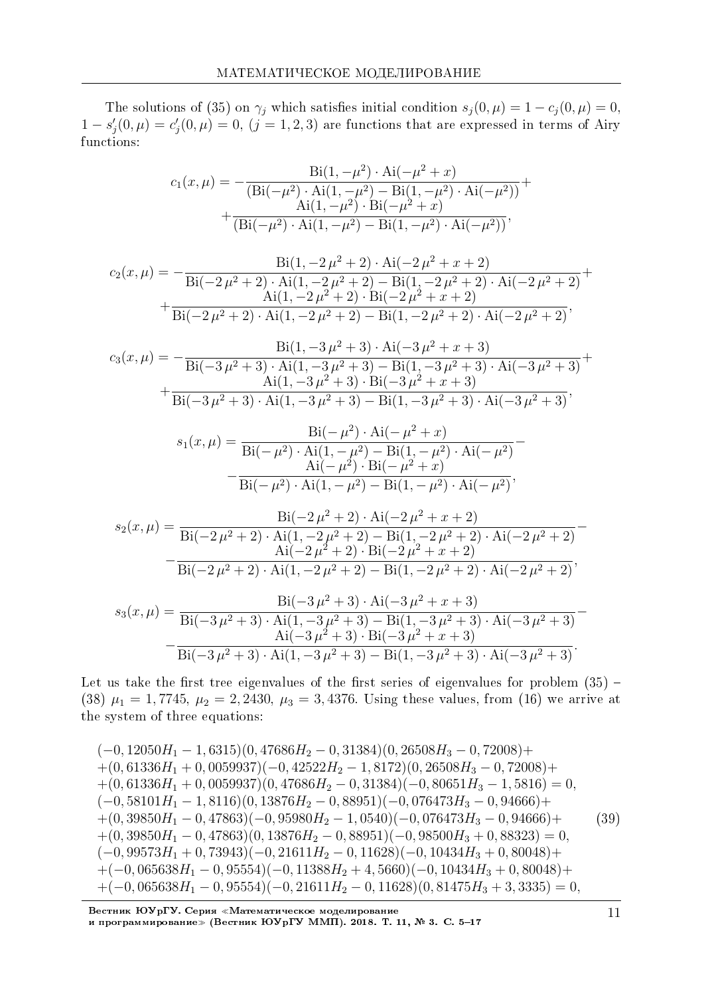The solutions of (35) on  $\gamma_j$  which satisfies initial condition  $s_j(0, \mu) = 1 - c_j(0, \mu) = 0$ ,  $1 - s'_{j}(0, \mu) = c'_{j}(0, \mu) = 0$ ,  $(j = 1, 2, 3)$  are functions that are expressed in terms of Airy functions:

$$
c_1(x,\mu) = -\frac{\text{Bi}(1,-\mu^2) \cdot \text{Ai}(-\mu^2 + x)}{(\text{Bi}(-\mu^2) \cdot \text{Ai}(1,-\mu^2) - \text{Bi}(1,-\mu^2) \cdot \text{Ai}(-\mu^2))} + \frac{\text{Ai}(1,-\mu^2) \cdot \text{Bi}(-\mu^2 + x)}{(\text{Bi}(-\mu^2) \cdot \text{Ai}(1,-\mu^2) - \text{Bi}(1,-\mu^2) \cdot \text{Ai}(-\mu^2))},
$$

$$
c_2(x,\mu) = -\frac{\text{Bi}(1, -2\,\mu^2 + 2) \cdot \text{Ai}(-2\,\mu^2 + x + 2)}{\text{Bi}(-2\,\mu^2 + 2) \cdot \text{Ai}(1, -2\,\mu^2 + 2) - \text{Bi}(1, -2\,\mu^2 + 2) \cdot \text{Ai}(-2\,\mu^2 + 2)} + \frac{\text{Ai}(1, -2\,\mu^2 + 2) \cdot \text{Bi}(-2\,\mu^2 + x + 2)}{\text{Bi}(-2\,\mu^2 + 2) \cdot \text{Ai}(1, -2\,\mu^2 + 2) - \text{Bi}(1, -2\,\mu^2 + 2) \cdot \text{Ai}(-2\,\mu^2 + 2)},
$$

$$
c_3(x,\mu) = -\frac{Bi(1, -3\mu^2 + 3) \cdot Ai(-3\mu^2 + x + 3)}{Bi(-3\mu^2 + 3) \cdot Ai(1, -3\mu^2 + 3) - Bi(1, -3\mu^2 + 3) \cdot Ai(-3\mu^2 + 3)} + \frac{Ai(1, -3\mu^2 + 3) \cdot Bi(-3\mu^2 + x + 3)}{Bi(-3\mu^2 + 3) \cdot Ai(1, -3\mu^2 + 3) - Bi(1, -3\mu^2 + 3) \cdot Ai(-3\mu^2 + 3)},
$$

$$
s_1(x,\mu) = \frac{\text{Bi}(-\mu^2) \cdot \text{Ai}(-\mu^2 + x)}{\text{Bi}(-\mu^2) \cdot \text{Ai}(1, -\mu^2) - \text{Bi}(1, -\mu^2) \cdot \text{Ai}(-\mu^2)} - \frac{\text{Ai}(-\mu^2) \cdot \text{Bi}(-\mu^2 + x)}{\text{Bi}(-\mu^2) \cdot \text{Ai}(1, -\mu^2) - \text{Bi}(1, -\mu^2) \cdot \text{Ai}(-\mu^2)},
$$

$$
s_2(x,\mu) = \frac{\text{Bi}(-2\,\mu^2 + 2) \cdot \text{Ai}(-2\,\mu^2 + x + 2)}{\text{Bi}(-2\,\mu^2 + 2) \cdot \text{Ai}(1, -2\,\mu^2 + 2) - \text{Bi}(1, -2\,\mu^2 + 2) \cdot \text{Ai}(-2\,\mu^2 + 2)} - \frac{\text{Ai}(-2\,\mu^2 + 2) \cdot \text{Bi}(-2\,\mu^2 + x + 2)}{\text{Bi}(-2\,\mu^2 + 2) \cdot \text{Ai}(1, -2\,\mu^2 + 2) - \text{Bi}(1, -2\,\mu^2 + 2) \cdot \text{Ai}(-2\,\mu^2 + 2)},
$$
  
Bi(2, 2, 2, 1, 2), Ai(2, 2, 2, 1, 2), Ai(2, 2, 2, 1, 2), Ai(2, 2, 2, 1, 2).

$$
s_3(x,\mu) = \frac{\text{Bi}(-3\,\mu^2 + 3) \cdot \text{Ai}(-3\,\mu^2 + x + 3)}{\text{Bi}(-3\,\mu^2 + 3) \cdot \text{Ai}(1, -3\,\mu^2 + 3) - \text{Bi}(1, -3\,\mu^2 + 3) \cdot \text{Ai}(-3\,\mu^2 + 3)} - \frac{\text{Ai}(-3\,\mu^2 + 3) \cdot \text{Bi}(-3\,\mu^2 + x + 3)}{\text{Bi}(-3\,\mu^2 + 3) \cdot \text{Ai}(1, -3\,\mu^2 + 3) - \text{Bi}(1, -3\,\mu^2 + 3) \cdot \text{Ai}(-3\,\mu^2 + 3)}.
$$

Let us take the first tree eigenvalues of the first series of eigenvalues for problem  $(35)$  -(38)  $\mu_1 = 1,7745, \mu_2 = 2,2430, \mu_3 = 3,4376.$  Using these values, from (16) we arrive at the system of three equations:

$$
(-0, 12050H_1 - 1, 6315)(0, 47686H_2 - 0, 31384)(0, 26508H_3 - 0, 72008) ++ (0, 61336H_1 + 0, 0059937)(-0, 42522H_2 - 1, 8172)(0, 26508H_3 - 0, 72008) ++ (0, 61336H_1 + 0, 0059937)(0, 47686H_2 - 0, 31384)(-0, 80651H_3 - 1, 5816) = 0,(-0, 58101H_1 - 1, 8116)(0, 13876H_2 - 0, 88951)(-0, 076473H_3 - 0, 94666) ++ (0, 39850H_1 - 0, 47863)(-0, 95980H_2 - 1, 0540)(-0, 076473H_3 - 0, 94666) ++ (0, 39850H_1 - 0, 47863)(0, 13876H_2 - 0, 88951)(-0, 98500H_3 + 0, 88323) = 0,(-0, 99573H_1 + 0, 73943)(-0, 21611H_2 - 0, 11628)(-0, 10434H_3 + 0, 80048) ++ (-0, 065638H_1 - 0, 95554)(-0, 11388H_2 + 4, 5660)(-0, 10434H_3 + 0, 80048) ++ (-0, 065638H_1 - 0, 95554)(-0, 21611H_2 - 0, 11628)(0, 81475H_3 + 3, 3335) = 0,
$$

Вестник ЮУрГУ. Серия «Математическое моделирование и программирование≫ (Вестник ЮУрГУ ММП). 2018. Т. 11, № 3. С. 5–17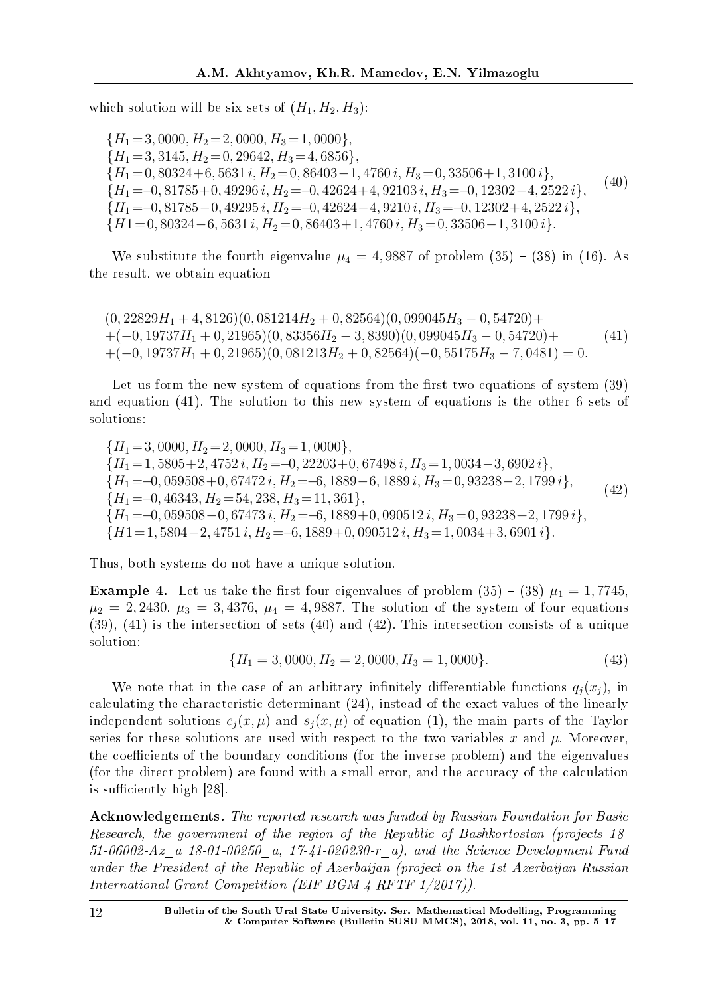which solution will be six sets of  $(H_1, H_2, H_3)$ :

*{H*<sup>1</sup> =3*,* 0000*, H*<sup>2</sup> =2*,* 0000*, H*<sup>3</sup> =1*,* 0000*}, {H*<sup>1</sup> =3*,* 3145*, H*<sup>2</sup> =0*,* 29642*, H*<sup>3</sup> =4*,* 6856*}, {H*<sup>1</sup> =0*,* 80324+6*,* 5631 *i, H*<sup>2</sup> =0*,* 86403*−*1*,* 4760 *i, H*<sup>3</sup> =0*,* 33506+1*,* 3100 *i}, {H*<sup>1</sup> =*−*0*,* 81785+0*,* 49296 *i, H*<sup>2</sup> =*−*0*,* 42624+4*,* 92103 *i, H*<sup>3</sup> =*−*0*,* 12302*−*4*,* 2522 *i}, {H*<sup>1</sup> =*−*0*,* 81785*−*0*,* 49295 *i, H*<sup>2</sup> =*−*0*,* 42624*−*4*,* 9210 *i, H*<sup>3</sup> =*−*0*,* 12302+4*,* 2522 *i}, {H*1=0*,* 80324*−*6*,* 5631 *i, H*<sup>2</sup> =0*,* 86403+1*,* 4760 *i, H*<sup>3</sup> =0*,* 33506*−*1*,* 3100 *i}.* (40)

We substitute the fourth eigenvalue  $\mu_4 = 4,9887$  of problem  $(35) - (38)$  in (16). As the result, we obtain equation

(0*,* 22829*H*<sup>1</sup> + 4*,* 8126)(0*,* 081214*H*<sup>2</sup> + 0*,* 82564)(0*,* 099045*H*<sup>3</sup> *−* 0*,* 54720)+ +(*−*0*,* 19737*H*<sup>1</sup> + 0*,* 21965)(0*,* 83356*H*<sup>2</sup> *−* 3*,* 8390)(0*,* 099045*H*<sup>3</sup> *−* 0*,* 54720)+ +(*−*0*,* 19737*H*<sup>1</sup> + 0*,* 21965)(0*,* 081213*H*<sup>2</sup> + 0*,* 82564)(*−*0*,* 55175*H*<sup>3</sup> *−* 7*,* 0481) = 0*.* (41)

Let us form the new system of equations from the first two equations of system  $(39)$ and equation (41). The solution to this new system of equations is the other 6 sets of solutions:

*{H*<sup>1</sup> =3*,* 0000*, H*<sup>2</sup> =2*,* 0000*, H*<sup>3</sup> =1*,* 0000*}, {H*<sup>1</sup> =1*,* 5805+2*,* 4752 *i, H*<sup>2</sup> =*−*0*,* 22203+0*,* 67498 *i, H*<sup>3</sup> =1*,* 0034*−*3*,* 6902 *i}, {H*<sup>1</sup> =*−*0*,* 059508+0*,* 67472 *i, H*<sup>2</sup> =*−*6*,* 1889*−*6*,* 1889 *i, H*<sup>3</sup> =0*,* 93238*−*2*,* 1799 *i}, {H*<sup>1</sup> =*−*0*,* 46343*, H*<sup>2</sup> =54*,* 238*, H*<sup>3</sup> =11*,* 361*}, {H*<sup>1</sup> =*−*0*,* 059508*−*0*,* 67473 *i, H*<sup>2</sup> =*−*6*,* 1889+0*,* 090512 *i, H*<sup>3</sup> =0*,* 93238+2*,* 1799 *i}, {H*1=1*,* 5804*−*2*,* 4751 *i, H*<sup>2</sup> =*−*6*,* 1889+0*,* 090512 *i, H*<sup>3</sup> =1*,* 0034+3*,* 6901 *i}.* (42)

Thus, both systems do not have a unique solution.

**Example 4.** Let us take the first four eigenvalues of problem  $(35) - (38) \mu_1 = 1,7745$ ,  $\mu_2 = 2,2430, \ \mu_3 = 3,4376, \ \mu_4 = 4,9887.$  The solution of the system of four equations (39), (41) is the intersection of sets (40) and (42). This intersection consists of a unique solution:

$$
\{H_1 = 3,0000, H_2 = 2,0000, H_3 = 1,0000\}.
$$
\n(43)

We note that in the case of an arbitrary infinitely differentiable functions  $q_i(x_i)$ , in calculating the characteristic determinant (24), instead of the exact values of the linearly independent solutions  $c_i(x, \mu)$  and  $s_i(x, \mu)$  of equation (1), the main parts of the Taylor series for these solutions are used with respect to the two variables *x* and *µ*. Moreover, the coefficients of the boundary conditions (for the inverse problem) and the eigenvalues (for the direct problem) are found with a small error, and the accuracy of the calculation is sufficiently high  $[28]$ .

Acknowledgements. The reported research was funded by Russian Foundation for Basic Research, the government of the region of the Republic of Bashkortostan (projects 18- 51-06002-Az\_a 18-01-00250\_a, 17-41-020230-r\_a), and the Science Development Fund under the President of the Republic of Azerbaijan (project on the 1st Azerbaijan-Russian International Grant Competition (EIF-BGM-4-RFTF-1/2017)).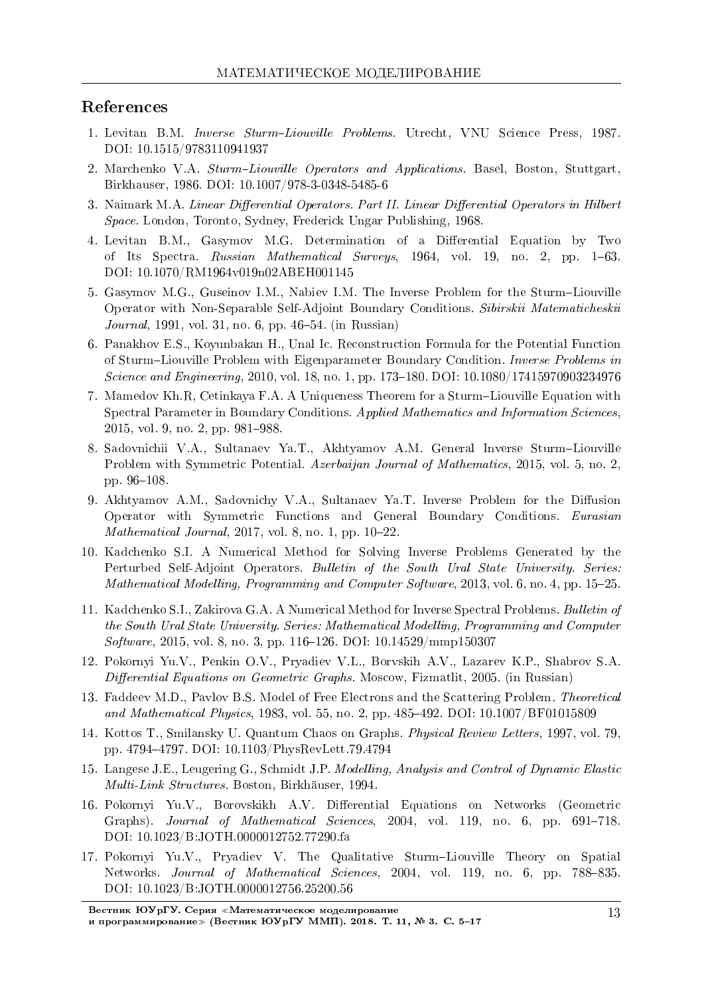### References

- 1. Levitan B.M. *Inverse Sturm-Liouville Problems*. Utrecht, VNU Science Press, 1987. DOI: 10.1515/9783110941937
- 2. Marchenko V.A. Sturm-Liouville Operators and Applications. Basel, Boston, Stuttgart, Birkhauser, 1986. DOI: 10.1007/978-3-0348-5485-6
- 3. Naimark M.A. Linear Differential Operators. Part II. Linear Differential Operators in Hilbert Space. London, Toronto, Sydney, Frederick Ungar Publishing, 1968.
- 4. Levitan B.M., Gasymov M.G. Determination of a Differential Equation by Two of Its Spectra. Russian Mathematical Surveys, 1964, vol. 19, no. 2, pp. 163. DOI: 10.1070/RM1964v019n02ABEH001145
- 5. Gasymov M.G., Guseinov I.M., Nabiev I.M. The Inverse Problem for the Sturm-Liouville Operator with Non-Separable Self-Adjoint Boundary Conditions. Sibirskii Matematicheskii *Journal*, 1991, vol. 31, no. 6, pp. 46–54. (in Russian)
- 6. Panakhov E.S., Koyunbakan H., Unal Ic. Reconstruction Formula for the Potential Function of Sturm–Liouville Problem with Eigenparameter Boundary Condition. Inverse Problems in Science and Engineering, 2010, vol. 18, no. 1, pp. 173-180. DOI: 10.1080/17415970903234976
- 7. Mamedov Kh.R, Cetinkaya F.A. A Uniqueness Theorem for a Sturm-Liouville Equation with Spectral Parameter in Boundary Conditions. Applied Mathematics and Information Sciences, 2015, vol. 9, no. 2, pp. 981-988.
- 8. Sadovnichii V.A., Sultanaev Ya.T., Akhtyamov A.M. General Inverse SturmLiouville Problem with Symmetric Potential. Azerbaijan Journal of Mathematics, 2015, vol. 5, no. 2, pp. 96-108.
- 9. Akhtyamov A.M., Sadovnichy V.A., Sultanaev Ya.T. Inverse Problem for the Diffusion Operator with Symmetric Functions and General Boundary Conditions. Eurasian Mathematical Journal,  $2017$ , vol. 8, no. 1, pp.  $10-22$ .
- 10. Kadchenko S.I. A Numerical Method for Solving Inverse Problems Generated by the Perturbed Self-Adjoint Operators. Bulletin of the South Ural State University. Series: Mathematical Modelling, Programming and Computer Software, 2013, vol.  $6$ , no.  $4$ , pp. 15–25.
- 11. Kadchenko S.I., Zakirova G.A. A Numerical Method for Inverse Spectral Problems. Bulletin of the South Ural State University. Series: Mathematical Modelling, Programming and Computer Software, 2015, vol. 8, no. 3, pp. 116-126. DOI: 10.14529/mmp150307
- 12. Pokornyi Yu.V., Penkin O.V., Pryadiev V.L., Borvskih A.V., Lazarev K.P., Shabrov S.A. Differential Equations on Geometric Graphs. Moscow, Fizmatlit, 2005. (in Russian)
- 13. Faddeev M.D., Pavlov B.S. Model of Free Electrons and the Scattering Problem. Theoretical and Mathematical Physics, 1983, vol. 55, no. 2, pp. 485–492. DOI: 10.1007/BF01015809
- 14. Kottos T., Smilansky U. Quantum Chaos on Graphs. Physical Review Letters, 1997, vol. 79, pp. 47944797. DOI: 10.1103/PhysRevLett.79.4794
- 15. Langese J.E., Leugering G., Schmidt J.P. Modelling, Analysis and Control of Dynamic Elastic Multi-Link Structures. Boston, Birkhauser, 1994.
- 16. Pokornyi Yu.V., Borovskikh A.V. Differential Equations on Networks (Geometric Graphs). Journal of Mathematical Sciences, 2004, vol. 119, no. 6, pp. 691-718. DOI: 10.1023/B:JOTH.0000012752.77290.fa
- 17. Pokornyi Yu.V., Pryadiev V. The Qualitative Sturm-Liouville Theory on Spatial Networks. Journal of Mathematical Sciences, 2004, vol. 119, no. 6, pp. 788–835. DOI: 10.1023/B:JOTH.0000012756.25200.56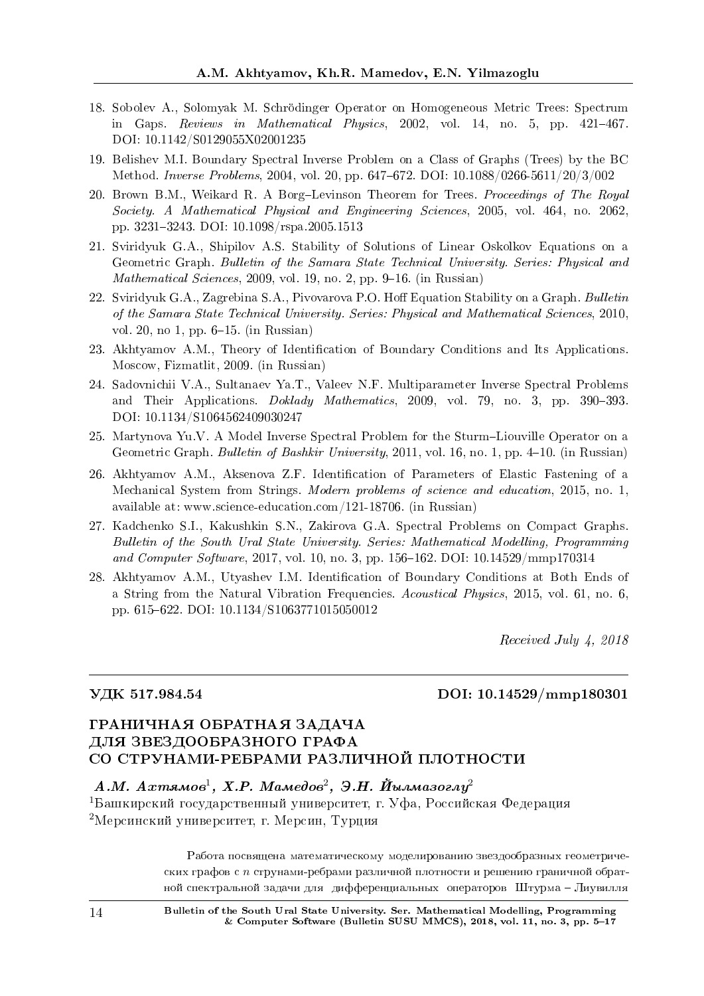- 18. Sobolev A., Solomyak M. Schrodinger Operator on Homogeneous Metric Trees: Spectrum in Gaps. Reviews in Mathematical Physics,  $2002$ , vol. 14, no. 5, pp.  $421-467$ . DOI: 10.1142/S0129055X02001235
- 19. Belishev M.I. Boundary Spectral Inverse Problem on a Class of Graphs (Trees) by the BC Method. Inverse Problems, 2004, vol. 20, pp. 647-672. DOI: 10.1088/0266-5611/20/3/002
- 20. Brown B.M., Weikard R. A Borg-Levinson Theorem for Trees. Proceedings of The Royal Society. A Mathematical Physical and Engineering Sciences, 2005, vol. 464, no. 2062, pp. 32313243. DOI: 10.1098/rspa.2005.1513
- 21. Sviridyuk G.A., Shipilov A.S. Stability of Solutions of Linear Oskolkov Equations on a Geometric Graph. Bulletin of the Samara State Technical University. Series: Physical and Mathematical Sciences, 2009, vol. 19, no. 2, pp. 9–16. (in Russian)
- 22. Sviridyuk G.A., Zagrebina S.A., Pivovarova P.O. Hoff Equation Stability on a Graph. Bulletin of the Samara State Technical University. Series: Physical and Mathematical Sciences, 2010, vol. 20, no 1, pp.  $6-15$ . (in Russian)
- 23. Akhtyamov A.M., Theory of Identification of Boundary Conditions and Its Applications. Moscow, Fizmatlit, 2009. (in Russian)
- 24. Sadovnichii V.A., Sultanaev Ya.T., Valeev N.F. Multiparameter Inverse Spectral Problems and Their Applications.  $Doklady$  Mathematics, 2009, vol. 79, no. 3, pp. 390–393. DOI: 10.1134/S1064562409030247
- 25. Martynova Yu.V. A Model Inverse Spectral Problem for the Sturm-Liouville Operator on a Geometric Graph. Bulletin of Bashkir University, 2011, vol. 16, no. 1, pp. 4-10. (in Russian)
- 26. Akhtyamov A.M., Aksenova Z.F. Identification of Parameters of Elastic Fastening of a Mechanical System from Strings. Modern problems of science and education, 2015, no. 1, available at: www.science-education.com/121-18706. (in Russian)
- 27. Kadchenko S.I., Kakushkin S.N., Zakirova G.A. Spectral Problems on Compact Graphs. Bulletin of the South Ural State University. Series: Mathematical Modelling, Programming and Computer Software, 2017, vol. 10, no. 3, pp. 156–162. DOI:  $10.14529/\text{mm}$ p170314
- 28. Akhtyamov A.M., Utyashev I.M. Identification of Boundary Conditions at Both Ends of a String from the Natural Vibration Frequencies. Acoustical Physics, 2015, vol. 61, no. 6, pp. 615622. DOI: 10.1134/S1063771015050012

Received July 4, 2018

### ÓÄÊ 517.984.54 DOI: 10.14529/mmp180301

# ГРАНИЧНАЯ ОБРАТНАЯ ЗАДАЧА ДЛЯ ЗВЕЗДООБРАЗНОГО ГРАФА СО СТРУНАМИ-РЕБРАМИ РАЗЛИЧНОЙ ПЛОТНОСТИ

# $A.M. \ Axma\omega\omega^1, \ X.P. \ Ma\omega\omega\omega^2, \ \ \Im.H. \ \ \breve{M}$ ылмазогл $y^2$

 $1$ Башкирский государственный университет, г. Уфа, Российская Федерация <sup>2</sup>Мерсинский университет, г. Мерсин, Турция

> Работа посвящена математическому моделированию звездообразных геометрических графов с *n* струнами-ребрами различной плотности и решению граничной обратной спектральной задачи для дифференциальных операторов Штурма – Лиувилля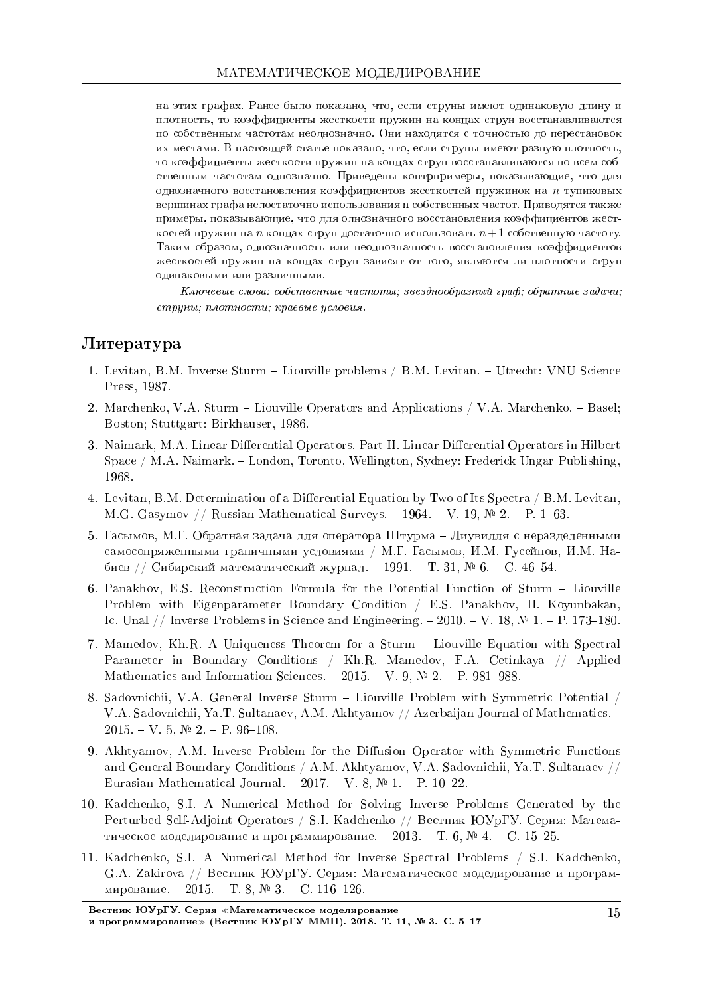на этих графах. Ранее было показано, что, если струны имеют одинаковую длину и плотность, то коэффициенты жесткости пружин на концах струн восстанавливаются по собственным частотам неоднозначно. Они находятся с точностью до перестановок их местами. В настоящей статье показано, что, если струны имеют разную плотность, то коэффициенты жесткости пружин на концах струн восстанавливаются по всем собственным частотам однозначно. Приведены контрпримеры, показывающие, что для однозначного восстановления коэффициентов жесткостей пружинок на *n* тупиковых вершинах графа недостаточно использования n собственных частот. Приводятся также примеры, показывающие, что для однозначного восстановления коэффициентов жест- $\kappa$ остей пружин на *n* концах струн достаточно использовать  $n+1$  собственную частоту. Таким образом, однозначность или неоднозначность восстановления коэффициентов жесткостей пружин на концах струн зависят от того, являются ли плотности струн одинаковыми или различными.

 $K$ лючевые слова: собственные частоты; звезднообразный граф; обратные задачи; струны; плотности; краевые условия.

# $J$ <sub>*M*Teparypa</sub>

- 1. Levitan, B.M. Inverse Sturm Liouville problems / B.M. Levitan. Utrecht: VNU Science Press, 1987.
- 2. Marchenko, V.A. Sturm Liouville Operators and Applications / V.A. Marchenko. Basel; Boston; Stuttgart: Birkhauser, 1986.
- 3. Naimark, M.A. Linear Differential Operators. Part II. Linear Differential Operators in Hilbert Space / M.A. Naimark. London, Toronto, Wellington, Sydney: Frederick Ungar Publishing, 1968.
- 4. Levitan, B.M. Determination of a Differential Equation by Two of Its Spectra / B.M. Levitan, M.G. Gasymov // Russian Mathematical Surveys.  $-1964. -V. 19, \mathbb{N}$  2.  $-$  P. 1–63.
- 5. Гасымов, М.Г. Обратная задача для оператора Штурма Лиувилля с неразделенными самосопряженными граничными условиями / М.Г. Гасымов, И.М. Гусейнов, И.М. Набиев // Сибирский математический журнал. – 1991. – Т. 31, № 6. – С. 46–54.
- 6. Panakhov, E.S. Reconstruction Formula for the Potential Function of Sturm Liouville Problem with Eigenparameter Boundary Condition / E.S. Panakhov, H. Koyunbakan, Ic. Unal // Inverse Problems in Science and Engineering.  $-2010$ .  $-V$ . 18,  $\mathcal{N}$  1.  $-P$ . 173-180.
- 7. Mamedov, Kh.R. A Uniqueness Theorem for a Sturm Liouville Equation with Spectral Parameter in Boundary Conditions / Kh.R. Mamedov, F.A. Cetinkaya // Applied Mathematics and Information Sciences.  $-2015. -V. 9$ ,  $\mathbb{N}^2$  2.  $-$  P. 981–988.
- 8. Sadovnichii, V.A. General Inverse Sturm Liouville Problem with Symmetric Potential / V.A. Sadovnichii, Ya.T. Sultanaev, A.M. Akhtyamov // Azerbaijan Journal of Mathematics.  $2015. - V. 5, N<sup>0</sup> 2. - P. 96-108.$
- 9. Akhtyamov, A.M. Inverse Problem for the Diffusion Operator with Symmetric Functions and General Boundary Conditions / A.M. Akhtyamov, V.A. Sadovnichii, Ya.T. Sultanaev // Eurasian Mathematical Journal. - 2017. - V. 8,  $\mathbb{N}$  1. - P. 10-22.
- 10. Kadchenko, S.I. A Numerical Method for Solving Inverse Problems Generated by the Perturbed Self-Adjoint Operators / S.I. Kadchenko // Вестник ЮУрГУ. Серия: Математическое моделирование и программирование. - 2013. - Т. 6,  $\mathbb{N}^2$ 4. - С. 15-25.
- 11. Kadchenko, S.I. A Numerical Method for Inverse Spectral Problems / S.I. Kadchenko, G.A. Zakirova // Вестник ЮУрГУ. Серия: Математическое моделирование и программирование. - 2015. - Т. 8, № 3. - С. 116-126.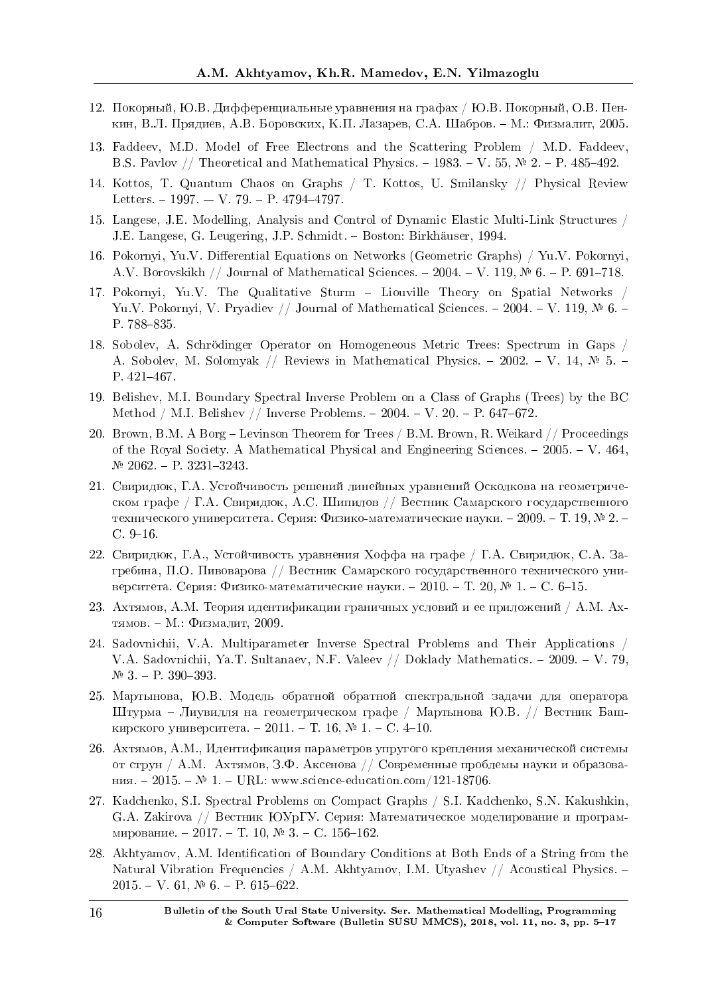- 12. Покорный, Ю.В. Дифференциальные уравнения на графах / Ю.В. Покорный, О.В. Пенкин, В.Л. Прядиев, А.В. Боровских, К.П. Лазарев, С.А. Шабров. – М.: Физмалит, 2005.
- 13. Faddeev, M.D. Model of Free Electrons and the Scattering Problem / M.D. Faddeev, B.S. Pavlov // Theoretical and Mathematical Physics.  $-1983. -V. 55$ ,  $\mathbb{N}^2$  2.  $-$  P. 485-492.
- 14. Kottos, T. Quantum Chaos on Graphs / T. Kottos, U. Smilansky // Physical Review Letters.  $-1997. -V. 79. -P. 4794-4797.$
- 15. Langese, J.E. Modelling, Analysis and Control of Dynamic Elastic Multi-Link Structures / J.E. Langese, G. Leugering, J.P. Schmidt. – Boston: Birkhäuser, 1994.
- 16. Pokornyi, Yu.V. Differential Equations on Networks (Geometric Graphs) / Yu.V. Pokornyi, A.V. Borovskikh // Journal of Mathematical Sciences.  $-2004. -V.$  119,  $\mathbb{N}^2$  6.  $-$  P. 691–718.
- 17. Pokornyi, Yu.V. The Qualitative Sturm Liouville Theory on Spatial Networks / Yu.V. Pokornyi, V. Pryadiev // Journal of Mathematical Sciences.  $-2004. -V.$  119,  $\mathbb{N}^2$  6.  $-$ P. 788-835.
- 18. Sobolev, A. Schrodinger Operator on Homogeneous Metric Trees: Spectrum in Gaps / A. Sobolev, M. Solomyak // Reviews in Mathematical Physics.  $-2002 - V.$  14,  $\mathbb{N}^2$  5.  $-$ P.  $421-467$ .
- 19. Belishev, M.I. Boundary Spectral Inverse Problem on a Class of Graphs (Trees) by the BC Method / M.I. Belishev // Inverse Problems.  $- 2004. - V. 20. - P. 647-672.$
- 20. Brown, B.M. A Borg Levinson Theorem for Trees / B.M. Brown, R. Weikard // Proceedings of the Royal Society. A Mathematical Physical and Engineering Sciences.  $-2005. -V. 464$ ,  $N<sup>2</sup>$  2062. – P. 3231-3243.
- 21. Свиридюк, Г.А. Устойчивость решений линейных уравнений Осколкова на геометрическом графе / Г.А. Свиридюк, А.С. Шипилов // Вестник Самарского государственного технического университета. Серия: Физико-математические науки. – 2009. – Т. 19, № 2. –  $C. 9-16.$
- 22. Свиридюк, Г.А., Устойчивость уравнения Хоффа на графе / Г.А. Свиридюк, С.А. Загребина, П.О. Пивоварова // Вестник Самарского государственного технического университета. Серия: Физико-математические науки. – 2010. – Т. 20, № 1. – С. 6–15.
- 23. Ахтямов, A.M. Теория идентификации граничных условий и ее приложений / A.M. Axтямов. – М.: Физмалит, 2009.
- 24. Sadovnichii, V.A. Multiparameter Inverse Spectral Problems and Their Applications / V.A. Sadovnichii, Ya.T. Sultanaev, N.F. Valeev // Doklady Mathematics.  $-2009 - V.79$ ,  $N<sup>0</sup>$  3. - P. 390-393.
- 25. Мартынова, Ю.В. Модель обратной обратной спектральной задачи для оператора Штурма - Лиувилля на геометрическом графе / Мартынова Ю.В. // Вестник Башкирского университета. - 2011. - Т. 16, № 1. - С. 4-10.
- 26. Ахтямов, А.М., Идентификация параметров упругого крепления механической системы от струн / A.M. Ахтямов, З.Ф. Аксенова // Современные проблемы науки и образования.  $-2015. - N$ <sup>2</sup> 1. − URL: www.science-education.com/121-18706.
- 27. Kadchenko, S.I. Spectral Problems on Compact Graphs / S.I. Kadchenko, S.N. Kakushkin, G.A. Zakirova // Вестник ЮУрГУ. Серия: Математическое моделирование и программирование. - 2017. - Т. 10, № 3. - С. 156-162.
- 28. Akhtyamov, A.M. Identification of Boundary Conditions at Both Ends of a String from the Natural Vibration Frequencies / A.M. Akhtyamov, I.M. Utyashev // Acoustical Physics.  $2015. - V. 61, N<sup>o</sup> 6. - P. 615-622.$